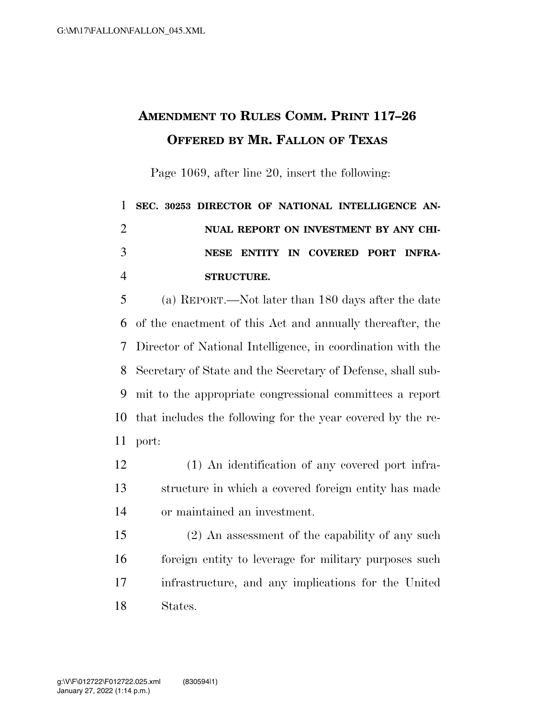## **AMENDMENT TO RULES COMM. PRINT 117–26 OFFERED BY MR. FALLON OF TEXAS**

Page 1069, after line 20, insert the following:

## **SEC. 30253 DIRECTOR OF NATIONAL INTELLIGENCE AN- NUAL REPORT ON INVESTMENT BY ANY CHI- NESE ENTITY IN COVERED PORT INFRA-STRUCTURE.**

 (a) REPORT.—Not later than 180 days after the date of the enactment of this Act and annually thereafter, the Director of National Intelligence, in coordination with the Secretary of State and the Secretary of Defense, shall sub- mit to the appropriate congressional committees a report that includes the following for the year covered by the re-port:

 (1) An identification of any covered port infra- structure in which a covered foreign entity has made or maintained an investment.

 (2) An assessment of the capability of any such foreign entity to leverage for military purposes such infrastructure, and any implications for the United States.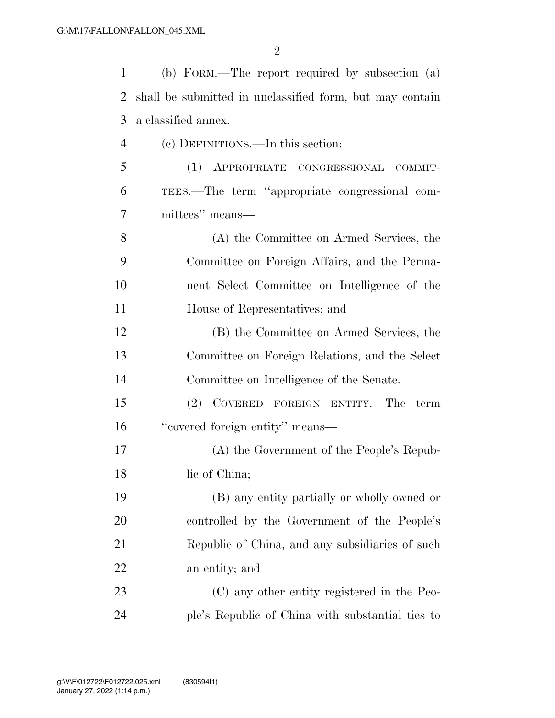| $\mathbf{1}$   | (b) FORM.—The report required by subsection (a)          |
|----------------|----------------------------------------------------------|
| $\overline{2}$ | shall be submitted in unclassified form, but may contain |
| 3              | a classified annex.                                      |
| 4              | (c) DEFINITIONS.—In this section:                        |
| 5              | (1) APPROPRIATE CONGRESSIONAL COMMIT-                    |
| 6              | TEES.—The term "appropriate congressional com-           |
| 7              | mittees" means—                                          |
| 8              | (A) the Committee on Armed Services, the                 |
| 9              | Committee on Foreign Affairs, and the Perma-             |
| 10             | nent Select Committee on Intelligence of the             |
| 11             | House of Representatives; and                            |
| 12             | (B) the Committee on Armed Services, the                 |
| 13             | Committee on Foreign Relations, and the Select           |
| 14             | Committee on Intelligence of the Senate.                 |
| 15             | (2) COVERED FOREIGN ENTITY.—The term                     |
| 16             | "covered foreign entity" means—                          |
| 17             | (A) the Government of the People's Repub-                |
| 18             | lic of China;                                            |
| 19             | (B) any entity partially or wholly owned or              |
| 20             | controlled by the Government of the People's             |
| 21             | Republic of China, and any subsidiaries of such          |
| 22             | an entity; and                                           |
| 23             | (C) any other entity registered in the Peo-              |
| 24             | ple's Republic of China with substantial ties to         |